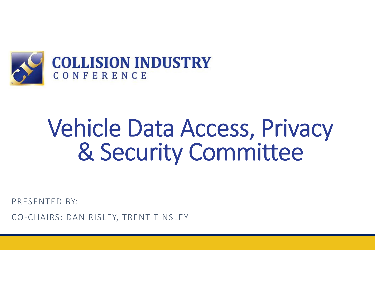

PRESENTED BY:

CO ‐CHAIRS: DAN RISLEY, TRENT TINSLEY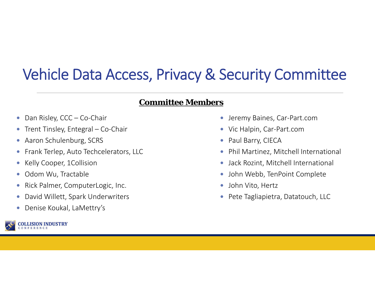#### **Committee Members**

- $\bullet$ Dan Risley, CCC – Co-Chair
- $\bullet$ Trent Tinsley, Entegral – Co‐Chair
- $\bullet$ Aaron Schulenburg, SCRS
- $\bullet$ Frank Terlep, Auto Techcelerators, LLC
- 0 Kelly Cooper, 1Collision
- $\bullet$ Odom Wu, Tractable
- $\bullet$ Rick Palmer, ComputerLogic, Inc.
- $\bullet$ David Willett, Spark Underwriters
- $\bullet$ Denise Koukal, LaMettry's



- 0 Jeremy Baines, Car‐Part.com
- Vic Halpin, Car-Part.com
- Paul Barry, CIECA
- $\bullet$ Phil Martinez, Mitchell International
- $\bullet$ Jack Rozint, Mitchell International
- John Webb, TenPoint Complete
- $\bullet$ John Vito, Hertz
- Pete Tagliapietra, Datatouch, LLC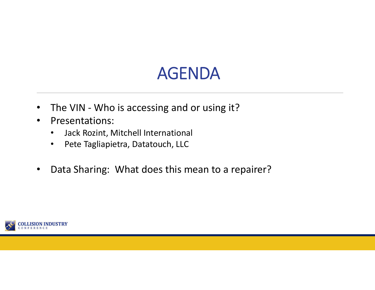# AGENDA

- $\bullet$ The VIN - Who is accessing and or using it?
- $\bullet$  Presentations:
	- •Jack Rozint, Mitchell International
	- $\bullet$ Pete Tagliapietra, Datatouch, LLC
- $\bullet$ Data Sharing: What does this mean to a repairer?

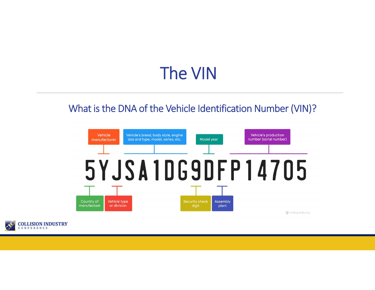# The VIN

### What is the DNA of the Vehicle Identification Number (VIN)?



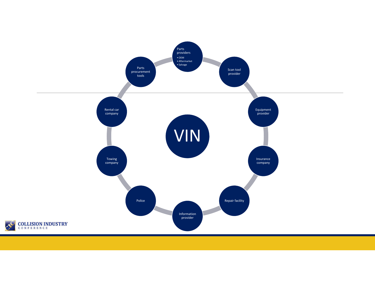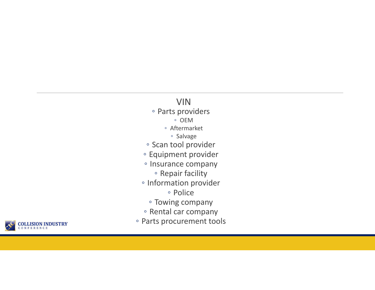#### VIN

- Parts providers
	- OEM
	- Aftermarket
		- Salvage
- Scan tool provider
- Equipment provider
- Insurance company
	- Repair facility
- Information provider
	- Police
	- Towing company
- Rental car company
- Parts procurement tools

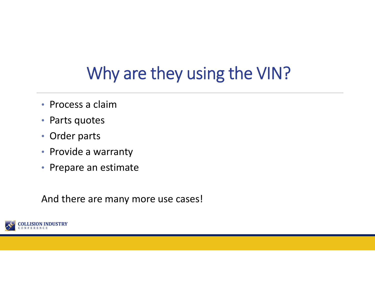# Why are they using the VIN?

- Process a claim
- •Parts quotes
- Order parts
- Provide a warranty
- Prepare an estimate

And there are many more use cases!

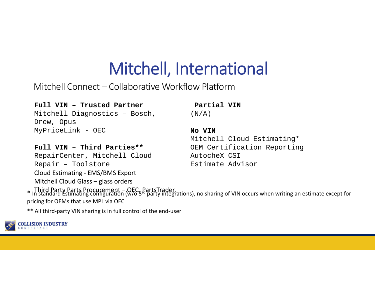# Mitchell, International

Mitchell Connect – Collaborative Workflow Platform

#### **Full VIN – Trusted Partner**

Mitchell Diagnostics – Bosch, Drew, Opus MyPriceLink - OEC

**Partial VIN** $(N/A)$ 

#### **Full VIN – Third Parties\*\***RepairCenter, Mitchell Cloud Repair – Toolstore Cloud Estimating ‐ EMS/BMS Export Mitchell Cloud Glass – glass orders

#### **No VIN**

Mitchell Cloud Estimating\* OEM Certification Reporting AutocheX CSIEstimate Advisor

\* Third Party Parts Procurement – OEC, PartsTrader,<br>\* In standard Estimating configuration (W/0 3<sup>R</sup> party integrations), no sharing of VIN occurs when writing an estimate except for pricing for OEMs that use MPL via OEC

\*\* All third‐party VIN sharing is in full control of the end‐user

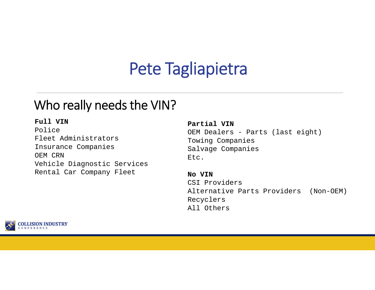# Pete Tagliapietra

### Who really needs the VIN?

#### **Full VIN**

PoliceFleet AdministratorsInsurance Companies OEM CRNVehicle Diagnostic Services Rental Car Company Fleet

#### **Partial VIN**

OEM Dealers - Parts (last eight) Towing Companies Salvage Companies Etc.

**No VIN** CSI ProvidersAlternative Parts Providers (Non-OEM) Recyclers All Others

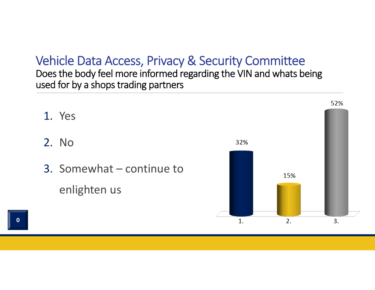Does the body feel more informed regarding the VIN and whats being used for by a shops trading partners

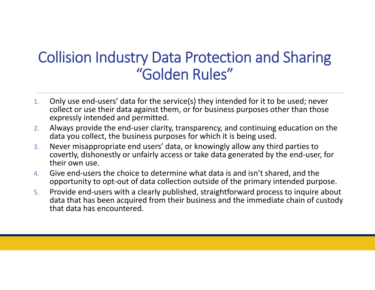### Collision Industry Data Protection and Sharing "Golden Rules"

- 1. Only use end‐users' data for the service(s) they intended for it to be used; never collect or use their data against them, or for business purposes other than those expressly intended and permitted.
- 2. Always provide the end‐user clarity, transparency, and continuing education on the data you collect, the business purposes for which it is being used.
- 3. Never misappropriate end users' data, or knowingly allow any third parties to covertly, dishonestly or unfairly access or take data generated by the end‐user, for their own use.
- 4. Give end‐users the choice to determine what data is and isn't shared, and the opportunity to opt‐out of data collection outside of the primary intended purpose.
- 5. Provide end‐users with a clearly published, straightforward process to inquire about data that has been acquired from their business and the immediate chain of custody that data has encountered.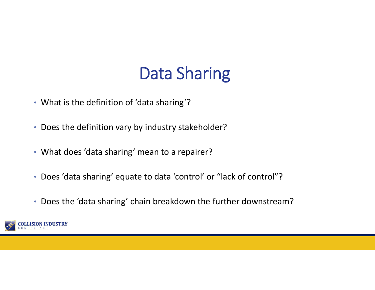# Data Sharing

- What is the definition of 'data sharing'?
- Does the definition vary by industry stakeholder?
- What does 'data sharing' mean to a repairer?
- Does 'data sharing' equate to data 'control' or "lack of control"?
- Does the 'data sharing' chain breakdown the further downstream?

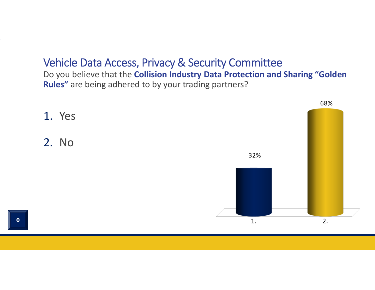Do you believe that the **Collision Industry Data Protection and Sharing "Golden Rules"** are being adhered to by your trading partners?

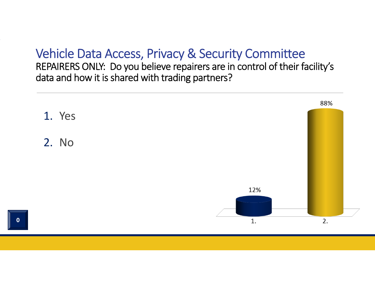REPAIRERS ONLY: Do you believe repairers are in control of their facility's data and how it is shared with trading partners?

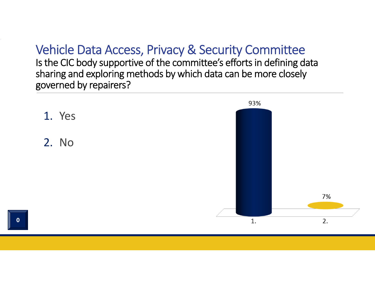Is the CIC body supportive of the committee's efforts in defining data sharing and exploring methods by which data can be more closely governed by repairers?

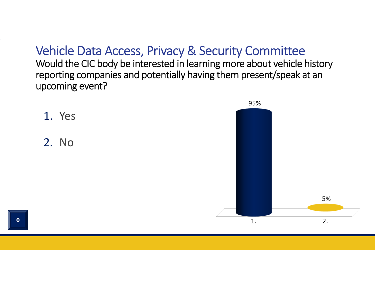Would the CIC body be interested in learning more about vehicle history reporting companies and potentially having them present/speak at an upcoming event?

![](_page_15_Figure_2.jpeg)

 $\overline{\mathbf{0}}$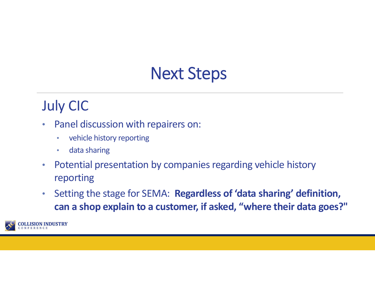# Next Steps

### July CIC

- $\bullet$  Panel discussion with repairers on:
	- •vehicle history reporting
	- $\bullet$ data sharing
- $\bullet$  Potential presentation by companies regarding vehicle history reporting
- $\bullet$  Setting the stage for SEMA: **Regardless of 'data sharing' definition, can a shop explain to a customer, if asked, "where their data goes?"**

![](_page_16_Picture_7.jpeg)